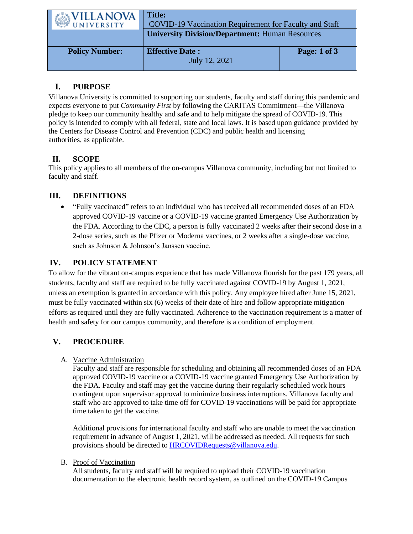| WILLANOVA             | <b>Title:</b><br>COVID-19 Vaccination Requirement for Faculty and Staff |              |
|-----------------------|-------------------------------------------------------------------------|--------------|
|                       | <b>University Division/Department: Human Resources</b>                  |              |
| <b>Policy Number:</b> | <b>Effective Date:</b><br>July 12, 2021                                 | Page: 1 of 3 |

# **I. PURPOSE**

Villanova University is committed to supporting our students, faculty and staff during this pandemic and expects everyone to put *Community First* by following the CARITAS Commitment—the Villanova pledge to keep our community healthy and safe and to help mitigate the spread of COVID-19. This policy is intended to comply with all federal, state and local laws. It is based upon guidance provided by the Centers for Disease Control and Prevention (CDC) and public health and licensing authorities, as applicable.

# **II. SCOPE**

This policy applies to all members of the on-campus Villanova community, including but not limited to faculty and staff.

# **III. DEFINITIONS**

• "Fully vaccinated" refers to an individual who has received all recommended doses of an FDA approved COVID-19 vaccine or a COVID-19 vaccine granted Emergency Use Authorization by the FDA. According to the CDC, a person is fully vaccinated 2 weeks after their second dose in a 2-dose series, such as the Pfizer or Moderna vaccines, or 2 weeks after a single-dose vaccine, such as Johnson & Johnson's Janssen vaccine.

## **IV. POLICY STATEMENT**

To allow for the vibrant on-campus experience that has made Villanova flourish for the past 179 years, all students, faculty and staff are required to be fully vaccinated against COVID-19 by August 1, 2021, unless an exemption is granted in accordance with this policy. Any employee hired after June 15, 2021, must be fully vaccinated within six (6) weeks of their date of hire and follow appropriate mitigation efforts as required until they are fully vaccinated. Adherence to the vaccination requirement is a matter of health and safety for our campus community, and therefore is a condition of employment.

# **V. PROCEDURE**

### A. Vaccine Administration

Faculty and staff are responsible for scheduling and obtaining all recommended doses of an FDA approved COVID-19 vaccine or a COVID-19 vaccine granted Emergency Use Authorization by the FDA. Faculty and staff may get the vaccine during their regularly scheduled work hours contingent upon supervisor approval to minimize business interruptions. Villanova faculty and staff who are approved to take time off for COVID-19 vaccinations will be paid for appropriate time taken to get the vaccine.

Additional provisions for international faculty and staff who are unable to meet the vaccination requirement in advance of August 1, 2021, will be addressed as needed. All requests for such provisions should be directed to **HRCOVIDRequests@villanova.edu.** 

### B. Proof of Vaccination

All students, faculty and staff will be required to upload their COVID-19 vaccination documentation to the electronic health record system, as outlined on the COVID-19 Campus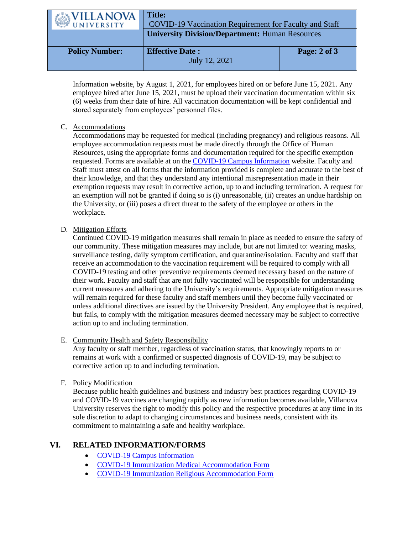| WILLANOVA             | <b>Title:</b><br><b>COVID-19 Vaccination Requirement for Faculty and Staff</b> |              |
|-----------------------|--------------------------------------------------------------------------------|--------------|
|                       | <b>University Division/Department: Human Resources</b>                         |              |
| <b>Policy Number:</b> | <b>Effective Date:</b><br>July 12, 2021                                        | Page: 2 of 3 |

Information website, by August 1, 2021, for employees hired on or before June 15, 2021. Any employee hired after June 15, 2021, must be upload their vaccination documentation within six (6) weeks from their date of hire. All vaccination documentation will be kept confidential and stored separately from employees' personnel files.

### C. Accommodations

Accommodations may be requested for medical (including pregnancy) and religious reasons. All employee accommodation requests must be made directly through the Office of Human Resources, using the appropriate forms and documentation required for the specific exemption requested. Forms are available at on the [COVID-19 Campus Information](https://www1.villanova.edu/university/return-to-campus.html) website. Faculty and Staff must attest on all forms that the information provided is complete and accurate to the best of their knowledge, and that they understand any intentional misrepresentation made in their exemption requests may result in corrective action, up to and including termination. A request for an exemption will not be granted if doing so is (i) unreasonable, (ii) creates an undue hardship on the University, or (iii) poses a direct threat to the safety of the employee or others in the workplace.

#### D. Mitigation Efforts

Continued COVID-19 mitigation measures shall remain in place as needed to ensure the safety of our community. These mitigation measures may include, but are not limited to: wearing masks, surveillance testing, daily symptom certification, and quarantine/isolation. Faculty and staff that receive an accommodation to the vaccination requirement will be required to comply with all COVID-19 testing and other preventive requirements deemed necessary based on the nature of their work. Faculty and staff that are not fully vaccinated will be responsible for understanding current measures and adhering to the University's requirements. Appropriate mitigation measures will remain required for these faculty and staff members until they become fully vaccinated or unless additional directives are issued by the University President. Any employee that is required, but fails, to comply with the mitigation measures deemed necessary may be subject to corrective action up to and including termination.

### E. Community Health and Safety Responsibility

Any faculty or staff member, regardless of vaccination status, that knowingly reports to or remains at work with a confirmed or suspected diagnosis of COVID-19, may be subject to corrective action up to and including termination.

#### F. Policy Modification

Because public health guidelines and business and industry best practices regarding COVID-19 and COVID-19 vaccines are changing rapidly as new information becomes available, Villanova University reserves the right to modify this policy and the respective procedures at any time in its sole discretion to adapt to changing circumstances and business needs, consistent with its commitment to maintaining a safe and healthy workplace.

## **VI. RELATED INFORMATION/FORMS**

- [COVID-19 Campus Information](https://www1.villanova.edu/university/return-to-campus.html)
- [COVID-19 Immunization Medical Accommodation Form](https://forms.office.com/Pages/ResponsePage.aspx?id=5Y1adpTP8EScr65b-M-jZhvoVi3wu-xGhqUa8XIdPilUQkZLVjlYQVdYQ0JETUdFQTdUOEdNSUJZRC4u)
- [COVID-19 Immunization Religious Accommodation Form](https://forms.office.com/Pages/ResponsePage.aspx?id=5Y1adpTP8EScr65b-M-jZhvoVi3wu-xGhqUa8XIdPilUQjlHMllCQU9GN1oyRzNWWDdDMkVNQlFDVS4u)